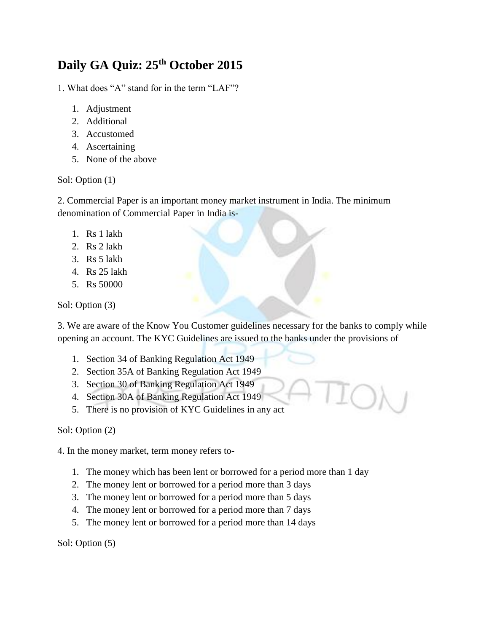# **Daily GA Quiz: 25th October 2015**

1. What does "A" stand for in the term "LAF"?

- 1. Adjustment
- 2. Additional
- 3. Accustomed
- 4. Ascertaining
- 5. None of the above

Sol: Option (1)

2. Commercial Paper is an important money market instrument in India. The minimum denomination of Commercial Paper in India is-

- 1. Rs 1 lakh
- 2. Rs 2 lakh
- 3. Rs 5 lakh
- 4. Rs 25 lakh
- 5. Rs 50000

Sol: Option (3)

3. We are aware of the Know You Customer guidelines necessary for the banks to comply while opening an account. The KYC Guidelines are issued to the banks under the provisions of –

- 1. Section 34 of Banking Regulation Act 1949
- 2. Section 35A of Banking Regulation Act 1949
- 3. Section 30 of Banking Regulation Act 1949
- 4. Section 30A of Banking Regulation Act 1949
- 5. There is no provision of KYC Guidelines in any act

Sol: Option (2)

4. In the money market, term money refers to-

- 1. The money which has been lent or borrowed for a period more than 1 day
- 2. The money lent or borrowed for a period more than 3 days
- 3. The money lent or borrowed for a period more than 5 days
- 4. The money lent or borrowed for a period more than 7 days
- 5. The money lent or borrowed for a period more than 14 days

Sol: Option (5)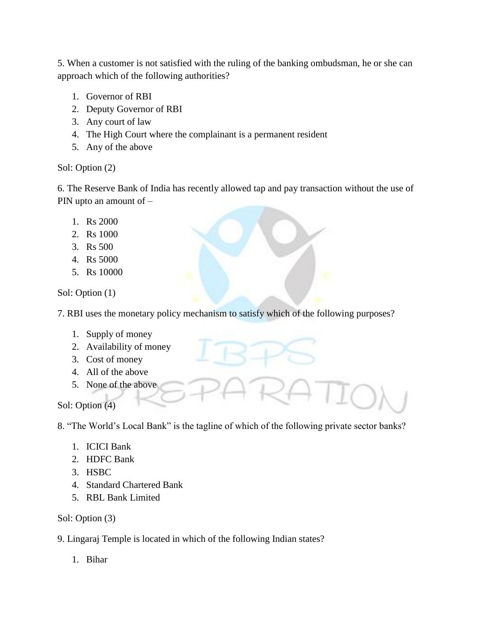5. When a customer is not satisfied with the ruling of the banking ombudsman, he or she can approach which of the following authorities?

- 1. Governor of RBI
- 2. Deputy Governor of RBI
- 3. Any court of law
- 4. The High Court where the complainant is a permanent resident
- 5. Any of the above

## Sol: Option (2)

6. The Reserve Bank of India has recently allowed tap and pay transaction without the use of PIN upto an amount of –

- 1. Rs 2000
- 2. Rs 1000
- 3. Rs 500
- 4. Rs 5000
- 5. Rs 10000

Sol: Option (1)

7. RBI uses the monetary policy mechanism to satisfy which of the following purposes?

- 1. Supply of money
- 2. Availability of money
- 3. Cost of money
- 4. All of the above
- 5. None of the above

Sol: Option (4)

8. "The World's Local Bank" is the tagline of which of the following private sector banks?

- 1. ICICI Bank
- 2. HDFC Bank
- 3. HSBC
- 4. Standard Chartered Bank
- 5. RBL Bank Limited

## Sol: Option (3)

- 9. Lingaraj Temple is located in which of the following Indian states?
	- 1. Bihar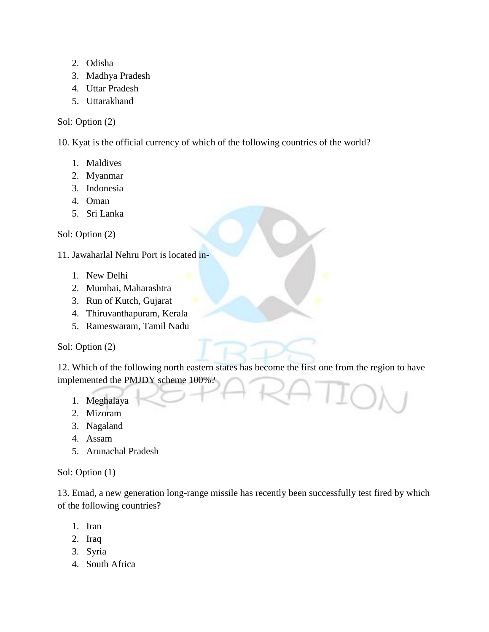- 2. Odisha
- 3. Madhya Pradesh
- 4. Uttar Pradesh
- 5. Uttarakhand

## Sol: Option (2)

10. Kyat is the official currency of which of the following countries of the world?

- 1. Maldives
- 2. Myanmar
- 3. Indonesia
- 4. Oman
- 5. Sri Lanka

Sol: Option (2)

11. Jawaharlal Nehru Port is located in-

- 1. New Delhi
- 2. Mumbai, Maharashtra
- 3. Run of Kutch, Gujarat
- 4. Thiruvanthapuram, Kerala
- 5. Rameswaram, Tamil Nadu

## Sol: Option (2)

12. Which of the following north eastern states has become the first one from the region to have implemented the PMJDY scheme 100%?

- 1. Meghalaya
- 2. Mizoram
- 3. Nagaland
- 4. Assam
- 5. Arunachal Pradesh

## Sol: Option (1)

13. Emad, a new generation long-range missile has recently been successfully test fired by which of the following countries?

- 1. Iran
- 2. Iraq
- 3. Syria
- 4. South Africa